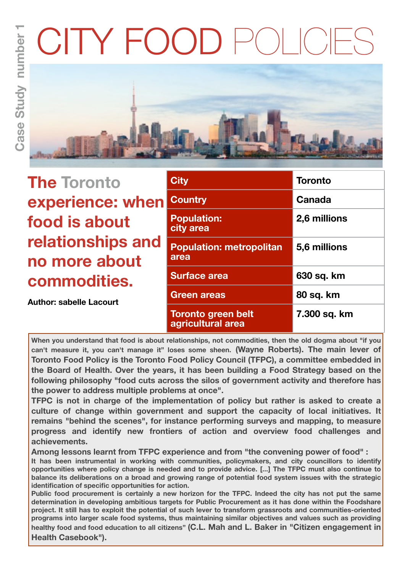# CITY FOO



| <b>The Toronto</b>                 | <b>City</b>                                    | <b>Toronto</b> |
|------------------------------------|------------------------------------------------|----------------|
| experience: when                   | <b>Country</b>                                 | Canada         |
| food is about                      | <b>Population:</b><br>city area                | 2,6 millions   |
| relationships and<br>no more about | <b>Population: metropolitan</b><br>area        | 5,6 millions   |
| commodities.                       | <b>Surface area</b>                            | 630 sq. km     |
| <b>Author: sabelle Lacourt</b>     | <b>Green areas</b>                             | 80 sq. km      |
|                                    | <b>Toronto green belt</b><br>agricultural area | 7.300 sq. km   |

**When you understand that food is about relationships, not commodities, then the old dogma about "if you can't measure it, you can't manage it" loses some sheen. (Wayne Roberts). The main lever of Toronto Food Policy is the Toronto Food Policy Council (TFPC), a committee embedded in the Board of Health. Over the years, it has been building a Food Strategy based on the following philosophy "food cuts across the silos of government activity and therefore has the power to address multiple problems at once".** 

**TFPC is not in charge of the implementation of policy but rather is asked to create a culture of change within government and support the capacity of local initiatives. It remains "behind the scenes", for instance performing surveys and mapping, to measure progress and identify new frontiers of action and overview food challenges and achievements.**

**Among lessons learnt from TFPC experience and from "the convening power of food" :**

**It has been instrumental in working with communities, policymakers, and city councillors to identify opportunities where policy change is needed and to provide advice. [...] The TFPC must also continue to balance its deliberations on a broad and growing range of potential food system issues with the strategic identification of specific opportunities for action.**

**Public food procurement is certainly a new horizon for the TFPC. Indeed the city has not put the same determination in developing ambitious targets for Public Procurement as it has done within the Foodshare project. It still has to exploit the potential of such lever to transform grassroots and communities-oriented programs into larger scale food systems, thus maintaining similar objectives and values such as providing healthy food and food education to all citizens" (C.L. Mah and L. Baker in "Citizen engagement in Health Casebook").**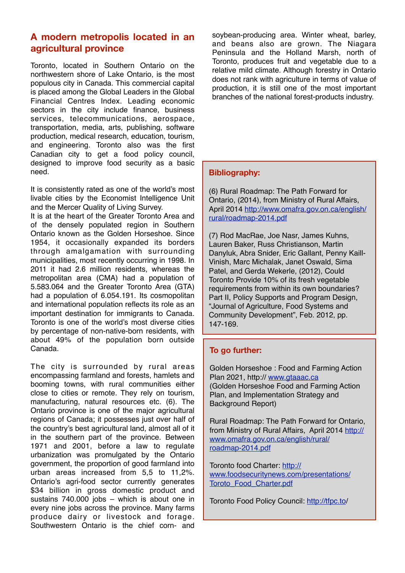## **A modern metropolis located in an agricultural province**

Toronto, located in Southern Ontario on the northwestern shore of Lake Ontario, is the most populous city in Canada. This commercial capital is placed among the Global Leaders in the Global Financial Centres Index. Leading economic sectors in the city include finance, business services, telecommunications, aerospace, transportation, media, arts, publishing, software production, medical research, education, tourism, and engineering. Toronto also was the first Canadian city to get a food policy council, designed to improve food security as a basic need.

It is consistently rated as one of the world's most livable cities by the Economist Intelligence Unit and the Mercer Quality of Living Survey.

It is at the heart of the Greater Toronto Area and of the densely populated region in Southern Ontario known as the Golden Horseshoe. Since 1954, it occasionally expanded its borders through amalgamation with surrounding municipalities, most recently occurring in 1998. In 2011 it had 2.6 million residents, whereas the metropolitan area (CMA) had a population of 5.583.064 and the Greater Toronto Area (GTA) had a population of 6.054.191. Its cosmopolitan and international population reflects its role as an important destination for immigrants to Canada. Toronto is one of the world's most diverse cities by percentage of non-native-born residents, with about 49% of the population born outside Canada.

The city is surrounded by rural areas encompassing farmland and forests, hamlets and booming towns, with rural communities either close to cities or remote. They rely on tourism, manufacturing, natural resources etc. (6). The Ontario province is one of the major agricultural regions of Canada; it possesses just over half of the country's best agricultural land, almost all of it in the southern part of the province. Between 1971 and 2001, before a law to regulate urbanization was promulgated by the Ontario government, the proportion of good farmland into urban areas increased from 5,5 to 11,2%. Ontario's agri-food sector currently generates \$34 billion in gross domestic product and sustains 740.000 jobs – which is about one in every nine jobs across the province. Many farms produce dairy or livestock and forage. Southwestern Ontario is the chief corn- and

soybean-producing area. Winter wheat, barley, and beans also are grown. The Niagara Peninsula and the Holland Marsh, north of Toronto, produces fruit and vegetable due to a relative mild climate. Although forestry in Ontario does not rank with agriculture in terms of value of production, it is still one of the most important branches of the national forest-products industry.

#### **Bibliography:**

(6) Rural Roadmap: The Path Forward for Ontario, (2014), from Ministry of Rural Affairs, April 2014 [http://www.omafra.gov.on.ca/english/](http://www.omafra.gov.on.ca/english/rural/roadmap-2014.pdf) [rural/roadmap-2014.pdf](http://www.omafra.gov.on.ca/english/rural/roadmap-2014.pdf)

(7) Rod MacRae, Joe Nasr, James Kuhns, Lauren Baker, Russ Christianson, Martin Danyluk, Abra Snider, Eric Gallant, Penny Kaill-Vinish, Marc Michalak, Janet Oswald, Sima Patel, and Gerda Wekerle, (2012), Could Toronto Provide 10% of its fresh vegetable requirements from within its own boundaries? Part II, Policy Supports and Program Design, "Journal of Agriculture, Food Systems and Community Development", Feb. 2012, pp. 147-169.

### **To go further:**

Golden Horseshoe : Food and Farming Action Plan 2021, http:// [www.gtaaac.ca](http://www.gtaaac.ca) (Golden Horseshoe Food and Farming Action Plan, and Implementation Strategy and Background Report)

Rural Roadmap: The Path Forward for Ontario, from Ministry of Rural Affairs, April 2014 [http://](http://www.omafra.gov.on.ca/english/rural/roadmap-2014.pdf) [www.omafra.gov.on.ca/english/rural/](http://www.omafra.gov.on.ca/english/rural/roadmap-2014.pdf) [roadmap-2014.pdf](http://www.omafra.gov.on.ca/english/rural/roadmap-2014.pdf)

Toronto food Charter: [http://](http://www.foodsecuritynews.com/presentations/Toroto_Food_Charter.pdf) [www.foodsecuritynews.com/presentations/](http://www.foodsecuritynews.com/presentations/Toroto_Food_Charter.pdf) [Toroto\\_Food\\_Charter.pdf](http://www.foodsecuritynews.com/presentations/Toroto_Food_Charter.pdf)

Toronto Food Policy Council: [http://tfpc.to/](http://tfpc.to)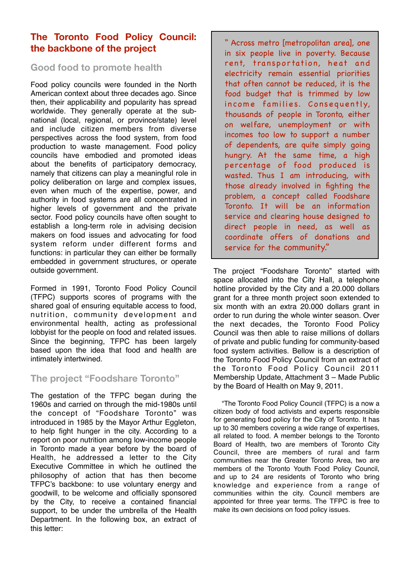# **The Toronto Food Policy Council: the backbone of the project**

## **Good food to promote health**

Food policy councils were founded in the North American context about three decades ago. Since then, their applicability and popularity has spread worldwide. They generally operate at the subnational (local, regional, or province/state) level and include citizen members from diverse perspectives across the food system, from food production to waste management. Food policy councils have embodied and promoted ideas about the benefits of participatory democracy, namely that citizens can play a meaningful role in policy deliberation on large and complex issues, even when much of the expertise, power, and authority in food systems are all concentrated in higher levels of government and the private sector. Food policy councils have often sought to establish a long-term role in advising decision makers on food issues and advocating for food system reform under different forms and functions: in particular they can either be formally embedded in government structures, or operate outside government.

Formed in 1991, Toronto Food Policy Council (TFPC) supports scores of programs with the shared goal of ensuring equitable access to food, nutrition, community development and environmental health, acting as professional lobbyist for the people on food and related issues. Since the beginning, TFPC has been largely based upon the idea that food and health are intimately intertwined.

## **The project "Foodshare Toronto"**

The gestation of the TFPC began during the 1960s and carried on through the mid-1980s until the concept of "Foodshare Toronto" was introduced in 1985 by the Mayor Arthur Eggleton, to help fight hunger in the city. According to a report on poor nutrition among low-income people in Toronto made a year before by the board of Health, he addressed a letter to the City Executive Committee in which he outlined the philosophy of action that has then become TFPC's backbone: to use voluntary energy and goodwill, to be welcome and officially sponsored by the City, to receive a contained financial support, to be under the umbrella of the Health Department. In the following box, an extract of this letter:

" Across metro [metropolitan area], one in six people live in poverty. Because rent, transportation, heat and electricity remain essential priorities that often cannot be reduced, it is the food budget that is trimmed by low income families. Consequently, thousands of people in Toronto, either on welfare, unemployment or with incomes too low to support a number of dependents, are quite simply going hungry. At the same time, a high percentage of food produced is wasted. Thus I am introducing, with those already involved in fighting the problem, a concept called Foodshare Toronto. It will be an information service and clearing house designed to direct people in need, as well as coordinate offers of donations and service for the community."

The project "Foodshare Toronto" started with space allocated into the City Hall, a telephone hotline provided by the City and a 20.000 dollars grant for a three month project soon extended to six month with an extra 20.000 dollars grant in order to run during the whole winter season. Over the next decades, the Toronto Food Policy Council was then able to raise millions of dollars of private and public funding for community-based food system activities. Bellow is a description of the Toronto Food Policy Council from an extract of the Toronto Food Policy Council 2011 Membership Update, Attachment 3 – Made Public by the Board of Health on May 9, 2011.

"The Toronto Food Policy Council (TFPC) is a now a citizen body of food activists and experts responsible for generating food policy for the City of Toronto. It has up to 30 members covering a wide range of expertises, all related to food. A member belongs to the Toronto Board of Health, two are members of Toronto City Council, three are members of rural and farm communities near the Greater Toronto Area, two are members of the Toronto Youth Food Policy Council, and up to 24 are residents of Toronto who bring knowledge and experience from a range of communities within the city. Council members are appointed for three year terms. The TFPC is free to make its own decisions on food policy issues.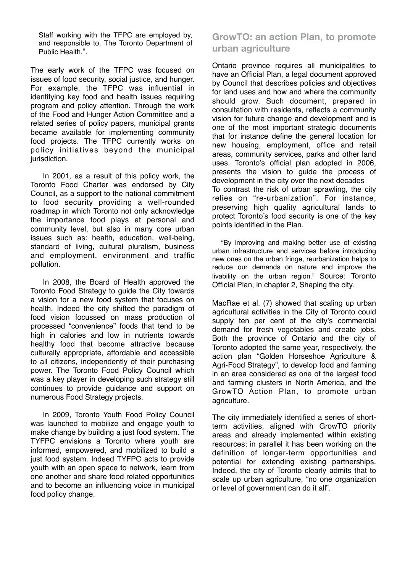Staff working with the TFPC are employed by, and responsible to, The Toronto Department of Public Health.".

The early work of the TFPC was focused on issues of food security, social justice, and hunger. For example, the TFPC was influential in identifying key food and health issues requiring program and policy attention. Through the work of the Food and Hunger Action Committee and a related series of policy papers, municipal grants became available for implementing community food projects. The TFPC currently works on policy initiatives beyond the municipal jurisdiction.

In 2001, as a result of this policy work, the Toronto Food Charter was endorsed by City Council, as a support to the national commitment to food security providing a well-rounded roadmap in which Toronto not only acknowledge the importance food plays at personal and community level, but also in many core urban issues such as: health, education, well-being, standard of living, cultural pluralism, business and employment, environment and traffic pollution.

In 2008, the Board of Health approved the Toronto Food Strategy to guide the City towards a vision for a new food system that focuses on health. Indeed the city shifted the paradigm of food vision focussed on mass production of processed "convenience" foods that tend to be high in calories and low in nutrients towards healthy food that become attractive because culturally appropriate, affordable and accessible to all citizens, independently of their purchasing power. The Toronto Food Policy Council which was a key player in developing such strategy still continues to provide guidance and support on numerous Food Strategy projects.

In 2009, Toronto Youth Food Policy Council was launched to mobilize and engage youth to make change by building a just food system. The TYFPC envisions a Toronto where youth are informed, empowered, and mobilized to build a just food system. Indeed TYFPC acts to provide youth with an open space to network, learn from one another and share food related opportunities and to become an influencing voice in municipal food policy change.

# **GrowTO: an action Plan, to promote urban agriculture**

Ontario province requires all municipalities to have an Official Plan, a legal document approved by Council that describes policies and objectives for land uses and how and where the community should grow. Such document, prepared in consultation with residents, reflects a community vision for future change and development and is one of the most important strategic documents that for instance define the general location for new housing, employment, office and retail areas, community services, parks and other land uses. Toronto's official plan adopted in 2006, presents the vision to guide the process of development in the city over the next decades To contrast the risk of urban sprawling, the city relies on "re-urbanization". For instance, preserving high quality agricultural lands to protect Toronto's food security is one of the key points identified in the Plan.

"By improving and making better use of existing urban infrastructure and services before introducing new ones on the urban fringe, reurbanization helps to reduce our demands on nature and improve the livability on the urban region." Source: Toronto Official Plan, in chapter 2, Shaping the city.

MacRae et al. (7) showed that scaling up urban agricultural activities in the City of Toronto could supply ten per cent of the city's commercial demand for fresh vegetables and create jobs. Both the province of Ontario and the city of Toronto adopted the same year, respectively, the action plan "Golden Horseshoe Agriculture & Agri-Food Strategy", to develop food and farming in an area considered as one of the largest food and farming clusters in North America, and the GrowTO Action Plan, to promote urban agriculture.

The city immediately identified a series of shortterm activities, aligned with GrowTO priority areas and already implemented within existing resources; in parallel it has been working on the definition of longer-term opportunities and potential for extending existing partnerships. Indeed, the city of Toronto clearly admits that to scale up urban agriculture, "no one organization or level of government can do it all".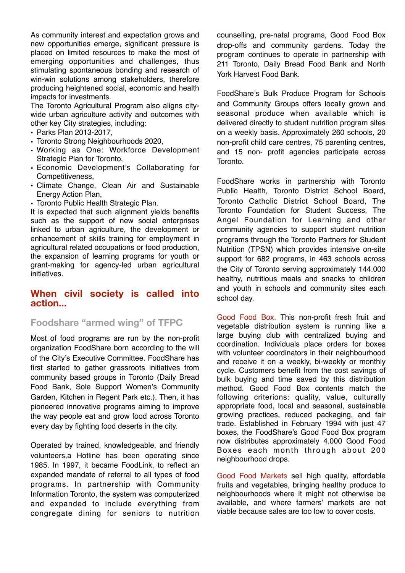As community interest and expectation grows and new opportunities emerge, significant pressure is placed on limited resources to make the most of emerging opportunities and challenges, thus stimulating spontaneous bonding and research of win-win solutions among stakeholders, therefore producing heightened social, economic and health impacts for investments.

The Toronto Agricultural Program also aligns citywide urban agriculture activity and outcomes with other key City strategies, including:

- Parks Plan 2013-2017,
- Toronto Strong Neighbourhoods 2020,
- Working as One: Workforce Development Strategic Plan for Toronto,
- Economic Development's Collaborating for Competitiveness,
- Climate Change, Clean Air and Sustainable Energy Action Plan,
- Toronto Public Health Strategic Plan.

It is expected that such alignment yields benefits such as the support of new social enterprises linked to urban agriculture, the development or enhancement of skills training for employment in agricultural related occupations or food production, the expansion of learning programs for youth or grant-making for agency-led urban agricultural initiatives.

### **When civil society is called into action...**

## **Foodshare "armed wing" of TFPC**

Most of food programs are run by the non-profit organization FoodShare born according to the will of the City's Executive Committee. FoodShare has first started to gather grassroots initiatives from community based groups in Toronto (Daily Bread Food Bank, Sole Support Women's Community Garden, Kitchen in Regent Park etc.). Then, it has pioneered innovative programs aiming to improve the way people eat and grow food across Toronto every day by fighting food deserts in the city.

Operated by trained, knowledgeable, and friendly volunteers,a Hotline has been operating since 1985. In 1997, it became FoodLink, to reflect an expanded mandate of referral to all types of food programs. In partnership with Community Information Toronto, the system was computerized and expanded to include everything from congregate dining for seniors to nutrition counselling, pre-natal programs, Good Food Box drop-offs and community gardens. Today the program continues to operate in partnership with 211 Toronto, Daily Bread Food Bank and North York Harvest Food Bank.

FoodShare's Bulk Produce Program for Schools and Community Groups offers locally grown and seasonal produce when available which is delivered directly to student nutrition program sites on a weekly basis. Approximately 260 schools, 20 non-profit child care centres, 75 parenting centres, and 15 non- profit agencies participate across Toronto.

FoodShare works in partnership with Toronto Public Health, Toronto District School Board, Toronto Catholic District School Board, The Toronto Foundation for Student Success, The Angel Foundation for Learning and other community agencies to support student nutrition programs through the Toronto Partners for Student Nutrition (TPSN) which provides intensive on-site support for 682 programs, in 463 schools across the City of Toronto serving approximately 144.000 healthy, nutritious meals and snacks to children and youth in schools and community sites each school day.

Good Food Box. This non-profit fresh fruit and vegetable distribution system is running like a large buying club with centralized buying and coordination. Individuals place orders for boxes with volunteer coordinators in their neighbourhood and receive it on a weekly, bi-weekly or monthly cycle. Customers benefit from the cost savings of bulk buying and time saved by this distribution method. Good Food Box contents match the following criterions: quality, value, culturally appropriate food, local and seasonal, sustainable growing practices, reduced packaging, and fair trade. Established in February 1994 with just 47 boxes, the FoodShare's Good Food Box program now distributes approximately 4.000 Good Food Boxes each month through about 200 neighbourhood drops.

Good Food Markets sell high quality, affordable fruits and vegetables, bringing healthy produce to neighbourhoods where it might not otherwise be available, and where farmers' markets are not viable because sales are too low to cover costs.